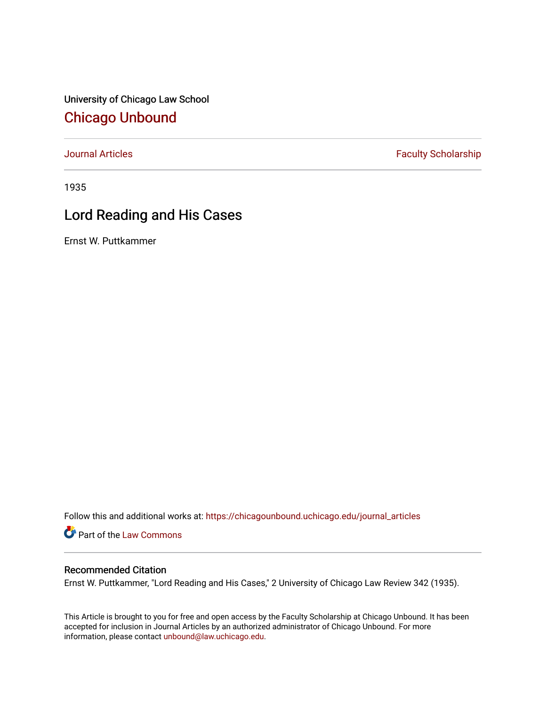University of Chicago Law School [Chicago Unbound](https://chicagounbound.uchicago.edu/)

[Journal Articles](https://chicagounbound.uchicago.edu/journal_articles) **Faculty Scholarship Faculty Scholarship** 

1935

## Lord Reading and His Cases

Ernst W. Puttkammer

Follow this and additional works at: [https://chicagounbound.uchicago.edu/journal\\_articles](https://chicagounbound.uchicago.edu/journal_articles?utm_source=chicagounbound.uchicago.edu%2Fjournal_articles%2F9242&utm_medium=PDF&utm_campaign=PDFCoverPages) 

Part of the [Law Commons](http://network.bepress.com/hgg/discipline/578?utm_source=chicagounbound.uchicago.edu%2Fjournal_articles%2F9242&utm_medium=PDF&utm_campaign=PDFCoverPages)

## Recommended Citation

Ernst W. Puttkammer, "Lord Reading and His Cases," 2 University of Chicago Law Review 342 (1935).

This Article is brought to you for free and open access by the Faculty Scholarship at Chicago Unbound. It has been accepted for inclusion in Journal Articles by an authorized administrator of Chicago Unbound. For more information, please contact [unbound@law.uchicago.edu](mailto:unbound@law.uchicago.edu).